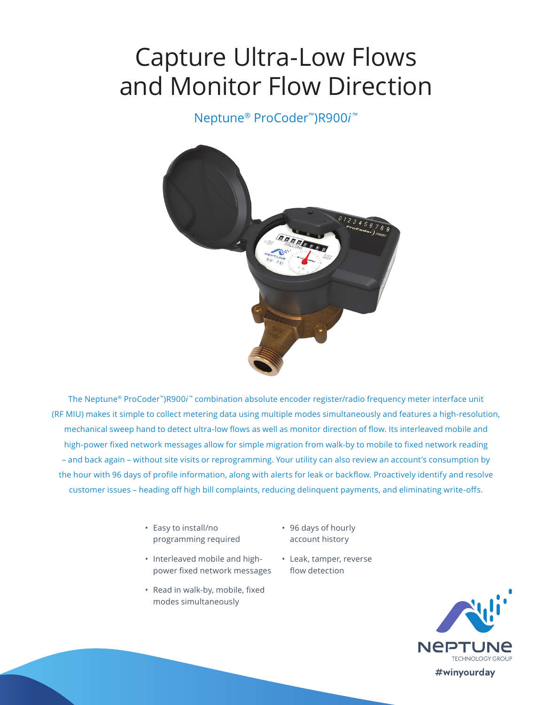# Capture Ultra-Low Flows and Monitor Flow Direction

Neptune® ProCoder™)R900*i* ™



The Neptune® ProCoder™)R900*i* ™ combination absolute encoder register/radio frequency meter interface unit (RF MIU) makes it simple to collect metering data using multiple modes simultaneously and features a high-resolution, mechanical sweep hand to detect ultra-low flows as well as monitor direction of flow. Its interleaved mobile and high-power fixed network messages allow for simple migration from walk-by to mobile to fixed network reading – and back again – without site visits or reprogramming. Your utility can also review an account's consumption by the hour with 96 days of profile information, along with alerts for leak or backflow. Proactively identify and resolve customer issues – heading off high bill complaints, reducing delinquent payments, and eliminating write-offs.

- Easy to install/no programming required
- Interleaved mobile and highpower fixed network messages
- Read in walk-by, mobile, fixed modes simultaneously
- 96 days of hourly account history
- Leak, tamper, reverse flow detection